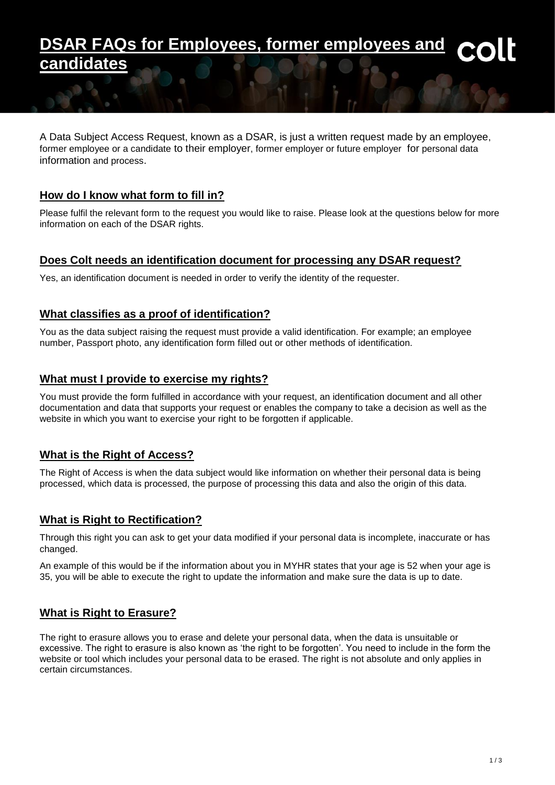# **FAQs for Employees, former employees and candidates**

A Data Subject Access Request, known as a DSAR, is just a written request made by an employee, former employee or a candidate to their employer, former employer or future employer for personal data information and process.

## **How do I know what form to fill in?**

Please fulfil the relevant form to the request you would like to raise. Please look at the questions below for more information on each of the DSAR rights.

#### **Does Colt needs an identification document for processing any DSAR request?**

Yes, an identification document is needed in order to verify the identity of the requester.

#### **What classifies as a proof of identification?**

You as the data subject raising the request must provide a valid identification. For example; an employee number, Passport photo, any identification form filled out or other methods of identification.

#### **What must I provide to exercise my rights?**

You must provide the form fulfilled in accordance with your request, an identification document and all other documentation and data that supports your request or enables the company to take a decision as well as the website in which you want to exercise your right to be forgotten if applicable.

#### **What is the Right of Access?**

The Right of Access is when the data subject would like information on whether their personal data is being processed, which data is processed, the purpose of processing this data and also the origin of this data.

#### **What is Right to Rectification?**

Through this right you can ask to get your data modified if your personal data is incomplete, inaccurate or has changed.

An example of this would be if the information about you in MYHR states that your age is 52 when your age is 35, you will be able to execute the right to update the information and make sure the data is up to date.

#### **What is Right to Erasure?**

The right to erasure allows you to erase and delete your personal data, when the data is unsuitable or excessive. The right to erasure is also known as 'the right to be forgotten'. You need to include in the form the website or tool which includes your personal data to be erased. The right is not absolute and only applies in certain circumstances.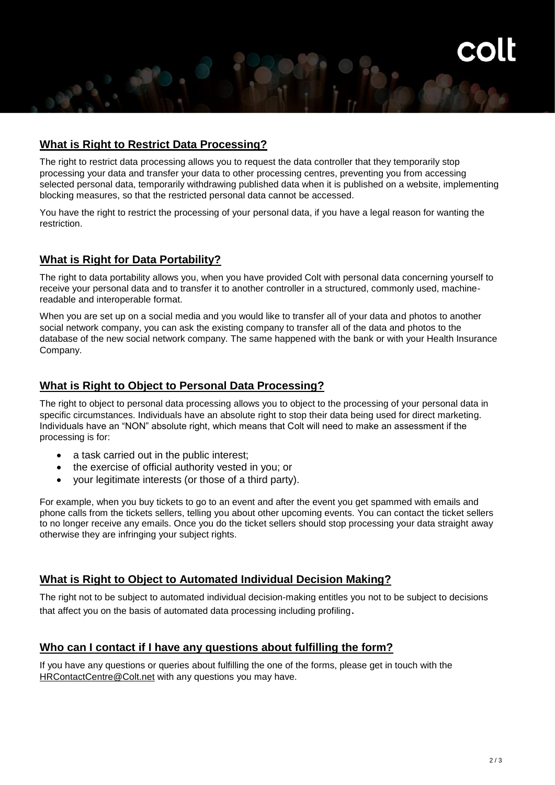# **What is Right to Restrict Data Processing?**

The right to restrict data processing allows you to request the data controller that they temporarily stop processing your data and transfer your data to other processing centres, preventing you from accessing selected personal data, temporarily withdrawing published data when it is published on a website, implementing blocking measures, so that the restricted personal data cannot be accessed.

You have the right to restrict the processing of your personal data, if you have a legal reason for wanting the restriction.

# **What is Right for Data Portability?**

The right to data portability allows you, when you have provided Colt with personal data concerning yourself to receive your personal data and to transfer it to another controller in a structured, commonly used, machinereadable and interoperable format.

When you are set up on a social media and you would like to transfer all of your data and photos to another social network company, you can ask the existing company to transfer all of the data and photos to the database of the new social network company. The same happened with the bank or with your Health Insurance Company.

#### **What is Right to Object to Personal Data Processing?**

The right to object to personal data processing allows you to object to the processing of your personal data in specific circumstances. Individuals have an absolute right to stop their data being used for direct marketing. Individuals have an "NON" absolute right, which means that Colt will need to make an assessment if the processing is for:

- a task carried out in the public interest:
- the exercise of official authority vested in you; or
- your legitimate interests (or those of a third party).

For example, when you buy tickets to go to an event and after the event you get spammed with emails and phone calls from the tickets sellers, telling you about other upcoming events. You can contact the ticket sellers to no longer receive any emails. Once you do the ticket sellers should stop processing your data straight away otherwise they are infringing your subject rights.

#### **What is Right to Object to Automated Individual Decision Making?**

The right not to be subject to automated individual decision-making entitles you not to be subject to decisions that affect you on the basis of automated data processing including profiling.

#### **Who can I contact if I have any questions about fulfilling the form?**

If you have any questions or queries about fulfilling the one of the forms, please get in touch with the [HRContactCentre@Colt.net](mailto:HRContactCentre@Colt.net) with any questions you may have.